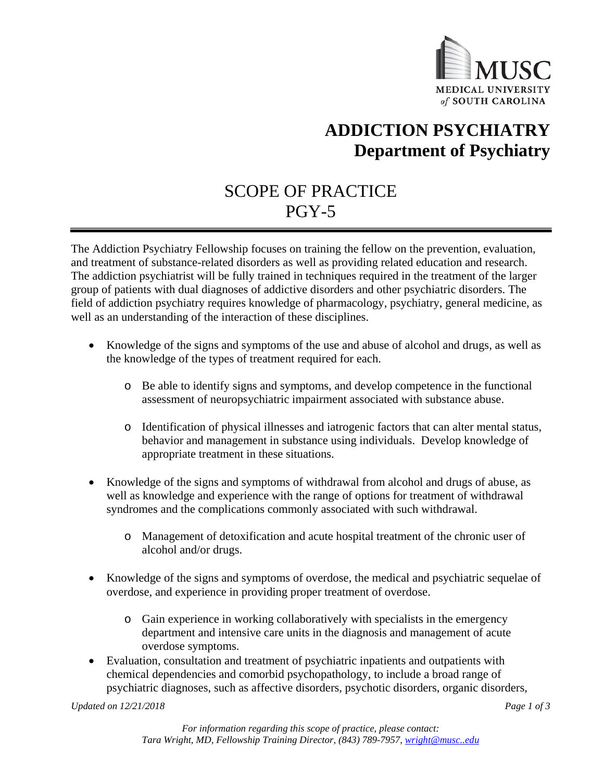

# **ADDICTION PSYCHIATRY Department of Psychiatry**

## SCOPE OF PRACTICE PGY-5

The Addiction Psychiatry Fellowship focuses on training the fellow on the prevention, evaluation, and treatment of substance-related disorders as well as providing related education and research. The addiction psychiatrist will be fully trained in techniques required in the treatment of the larger group of patients with dual diagnoses of addictive disorders and other psychiatric disorders. The field of addiction psychiatry requires knowledge of pharmacology, psychiatry, general medicine, as well as an understanding of the interaction of these disciplines.

- Knowledge of the signs and symptoms of the use and abuse of alcohol and drugs, as well as the knowledge of the types of treatment required for each.
	- o Be able to identify signs and symptoms, and develop competence in the functional assessment of neuropsychiatric impairment associated with substance abuse.
	- o Identification of physical illnesses and iatrogenic factors that can alter mental status, behavior and management in substance using individuals. Develop knowledge of appropriate treatment in these situations.
- Knowledge of the signs and symptoms of withdrawal from alcohol and drugs of abuse, as well as knowledge and experience with the range of options for treatment of withdrawal syndromes and the complications commonly associated with such withdrawal.
	- o Management of detoxification and acute hospital treatment of the chronic user of alcohol and/or drugs.
- Knowledge of the signs and symptoms of overdose, the medical and psychiatric sequelae of overdose, and experience in providing proper treatment of overdose.
	- o Gain experience in working collaboratively with specialists in the emergency department and intensive care units in the diagnosis and management of acute overdose symptoms.
- Evaluation, consultation and treatment of psychiatric inpatients and outpatients with chemical dependencies and comorbid psychopathology, to include a broad range of psychiatric diagnoses, such as affective disorders, psychotic disorders, organic disorders,

*Updated on 12/21/2018 Page 1 of 3*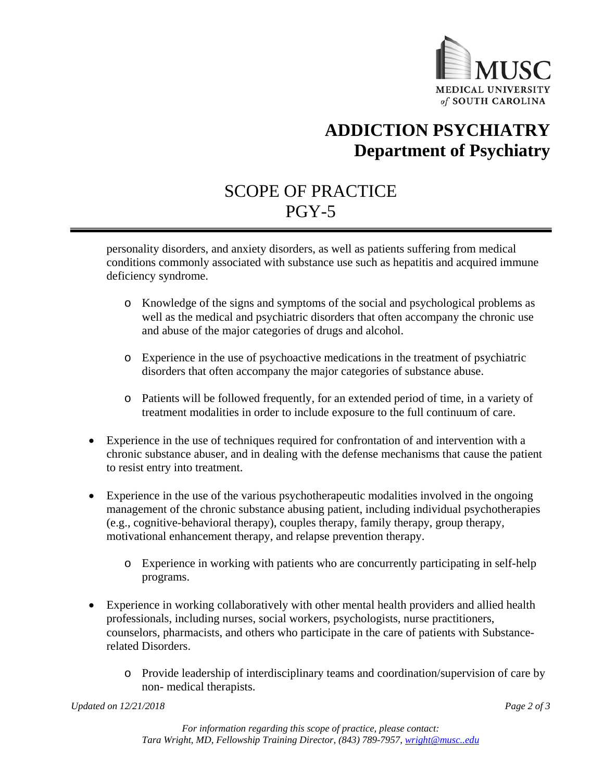

# **ADDICTION PSYCHIATRY Department of Psychiatry**

## SCOPE OF PRACTICE PGY-5

personality disorders, and anxiety disorders, as well as patients suffering from medical conditions commonly associated with substance use such as hepatitis and acquired immune deficiency syndrome.

- o Knowledge of the signs and symptoms of the social and psychological problems as well as the medical and psychiatric disorders that often accompany the chronic use and abuse of the major categories of drugs and alcohol.
- o Experience in the use of psychoactive medications in the treatment of psychiatric disorders that often accompany the major categories of substance abuse.
- o Patients will be followed frequently, for an extended period of time, in a variety of treatment modalities in order to include exposure to the full continuum of care.
- Experience in the use of techniques required for confrontation of and intervention with a chronic substance abuser, and in dealing with the defense mechanisms that cause the patient to resist entry into treatment.
- Experience in the use of the various psychotherapeutic modalities involved in the ongoing management of the chronic substance abusing patient, including individual psychotherapies (e.g., cognitive-behavioral therapy), couples therapy, family therapy, group therapy, motivational enhancement therapy, and relapse prevention therapy.
	- o Experience in working with patients who are concurrently participating in self-help programs.
- Experience in working collaboratively with other mental health providers and allied health professionals, including nurses, social workers, psychologists, nurse practitioners, counselors, pharmacists, and others who participate in the care of patients with Substancerelated Disorders.
	- o Provide leadership of interdisciplinary teams and coordination/supervision of care by non- medical therapists.

*Updated on 12/21/2018 Page 2 of 3*